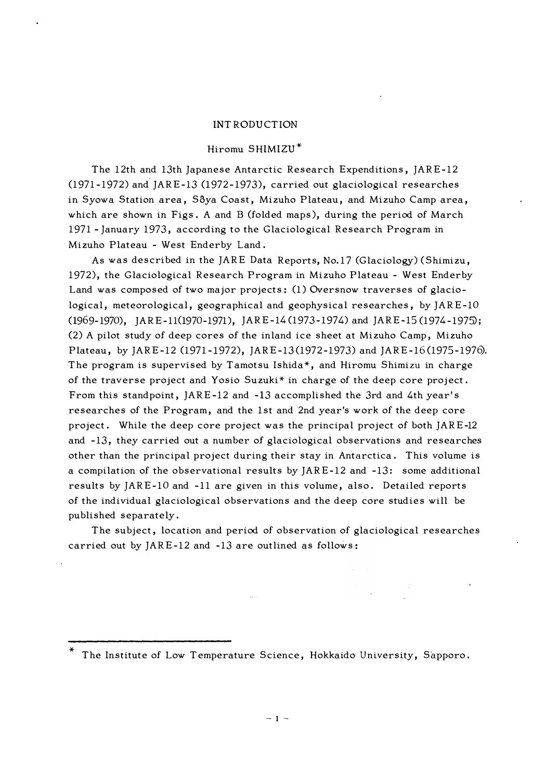#### INTRODUCTION

#### Hiromu SHIMIZU\*

The 12th and 13th Japanese Antarctic Research Expenditions, JARE-12  $(1971-1972)$  and JARE-13  $(1972-1973)$ , carried out glaciological researches in Syowa Station area, Sôya Coast, Mizuho Plateau, and Mizuho Camp area, which are shown in Figs. A and B (folded maps), during the period of March 1971 - January 1973, according to the Glaciological Research Program in Mizuho Plateau - West Enderby Land.

As was described in the JARE Data Reports, No.17 (Glaciology) (Shimizu, 1972), the Glaciological Research Program in Mizuho Plateau - West Enderby Land was composed of two major projects: (1) Oversnow traverses of glaciological, meteorological, geographical and geophysical researches, by JARE-10 (1969-1970), JARE-110970-1971), JARE-14(1973-1974) and JARE-15 (1974-1975); (2) A pilot study of deep cores of the inland ice sheet at Mizuho Camp, Mizuho Plateau, by JARE-12 (1971-1972), JARE-13(1972-1973) and JARE-16(1975-1976). The program is supervised by Tamotsu Ishida\*, and Hiromu Shimizu in charge of the traverse project and Yosio Suzuki\* in charge of the deep core project. From this standpoint, JARE-12 and -13 accomplished the 3rd and 4th year' s researches of the Program, and the 1st and 2nd year's work of the deep core project. While the deep core project was the principal project of both JARE-12 and -13, they carried out a number of glaciological observations and researches other than the principal project during their stay in Antarctica. This volume is a compilation of the observational results by JARE-12 and -13: some additional results by JARE-10 and -11 are given in this volume, also. Detailed reports of the individual glaciological observations and the deep core studies will be published separately.

The subject, location and period of observation of glaciological researches carried out by JARE-12 and -13 are outlined as follows:

The Institute of Low Temperature Science, Hokkaido University, Sapporo.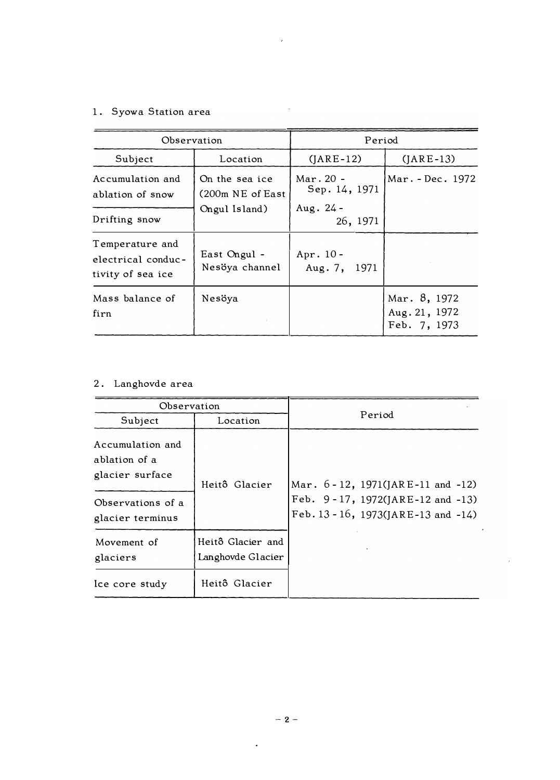## 1. Syowa Station area

| Observation                                                |                                       | Period                       |                                               |  |
|------------------------------------------------------------|---------------------------------------|------------------------------|-----------------------------------------------|--|
| Subject                                                    | Location                              | $(JARE-12)$                  | $(JARE-13)$                                   |  |
| Accumulation and<br>ablation of snow                       | On the sea ice<br>$(200m)$ NE of East | Mar. $20 -$<br>Sep. 14, 1971 | Mar. - Dec. 1972                              |  |
| Drifting snow                                              | Ongul Island)                         | Aug. $24 -$<br>26, 1971      |                                               |  |
| Temperature and<br>electrical conduc-<br>tivity of sea ice | East Ongul -<br>Nesöya channel        | Apr. $10 -$<br>Aug. 7, 1971  |                                               |  |
| Mass balance of<br>firn                                    | Nesöya                                |                              | Mar. 8, 1972<br>Aug. 21, 1972<br>Feb. 7, 1973 |  |

 $\hat{\mathcal{E}}$ 

 $\bar{\mathcal{A}}$ 

# 2. Langhovde area

| Observation                                                                                   |                                        | Period                                                                                                      |  |
|-----------------------------------------------------------------------------------------------|----------------------------------------|-------------------------------------------------------------------------------------------------------------|--|
| Subject                                                                                       | Location                               |                                                                                                             |  |
| Accumulation and<br>ablation of a<br>glacier surface<br>Observations of a<br>glacier terminus | Heitô Glacier                          | Mar. 6-12, 1971(JARE-11 and -12)<br>Feb. 9-17, 1972(JARE-12 and -13)<br>Feb. 13 - 16, 1973(JARE-13 and -14) |  |
| Movement of<br>glaciers                                                                       | Heitô Glacier and<br>Langhovde Glacier |                                                                                                             |  |
| Ice core study                                                                                | Heitô Glacier                          |                                                                                                             |  |

 $\overline{\phantom{a}}$ 

 $\ddot{\phantom{a}}$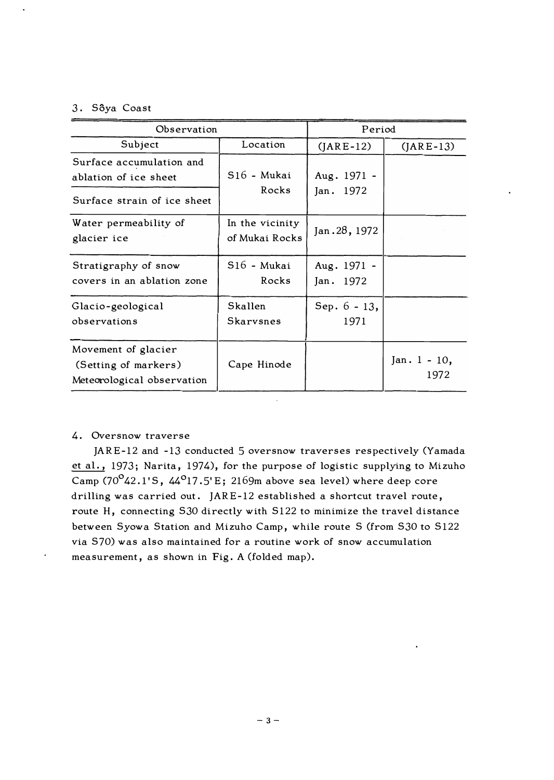## 3. Sôya Coast

| Observation                                                                      | Period                            |                          |                         |
|----------------------------------------------------------------------------------|-----------------------------------|--------------------------|-------------------------|
| Subject                                                                          | Location                          | $(JARE-12)$              | $(JARE-13)$             |
| Surface accumulation and<br>ablation of ice sheet<br>Surface strain of ice sheet | S16 - Mukai<br>Rocks              | Aug. 1971 -<br>Jan. 1972 |                         |
| Water permeability of<br>glacier ice                                             | In the vicinity<br>of Mukai Rocks | Jan. 28, 1972            |                         |
| Stratigraphy of snow<br>covers in an ablation zone                               | S16 - Mukai<br>Rocks              | Aug. 1971 -<br>Jan. 1972 |                         |
| Glacio-geological<br>observations                                                | Skallen<br>Skarvsnes              | Sep. $6 - 13$ ,<br>1971  |                         |
| Movement of glacier<br>(Setting of markers)<br>Meteorological observation        | Cape Hinode                       |                          | Jan. $1 - 10$ ,<br>1972 |

## 4. Oversnow traverse

JARE-12 and -13 conducted 5 oversnow traverses respectively (Yamada et al., 1973; Narita, 1974), for the purpose of logistic supplying to Mizuho Camp (70 $\mathrm{^o}$ 42.1'S, 44 $\mathrm{^o}$ 17.5'E; 2169m above sea level) where deep core drilling was carried out. JARE-12 established a shortcut travel route, route H, connecting S30 directly with S122 to minimize the travel distance between Syowa Station and Mizuho Camp, while route S (from 530 to 5122 via 570) was also maintained for a routine work of snow accumulation measurement, as shown in Fig. A (folded map).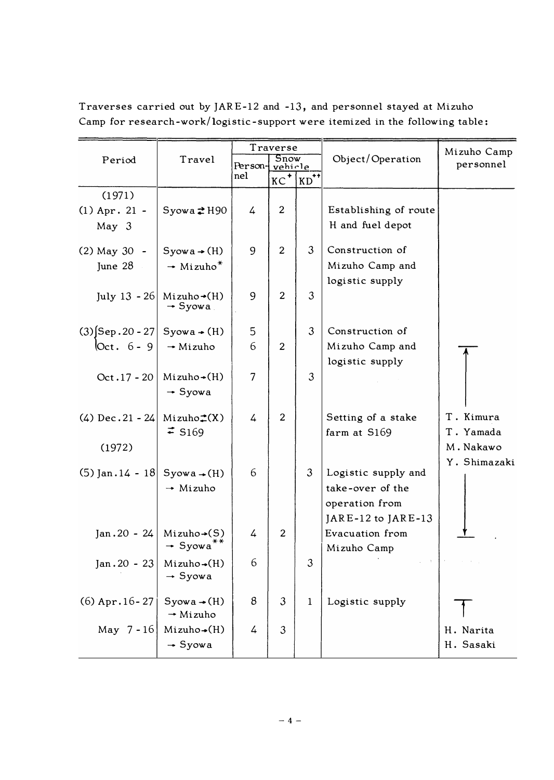| Period                                     | Travel                                                       | Traverse<br><b>Snow</b><br>Person-<br>vehicle |                |                | Object/Operation      | Mizuho Camp<br>personnel |
|--------------------------------------------|--------------------------------------------------------------|-----------------------------------------------|----------------|----------------|-----------------------|--------------------------|
|                                            |                                                              | nel                                           | KC             | $ KD^{++} $    |                       |                          |
| (1971)                                     |                                                              |                                               |                |                |                       |                          |
| $(1)$ Apr. 21 -                            | Syowa 2H90                                                   | 4                                             | $\overline{2}$ |                | Establishing of route |                          |
| May 3                                      |                                                              |                                               |                |                | H and fuel depot      |                          |
| $(2)$ May 30 -                             | $Syowa \rightarrow (H)$                                      | 9                                             | $\overline{2}$ | 3              | Construction of       |                          |
| June $28$                                  | $\rightarrow$ Mizuho <sup>*</sup>                            |                                               |                |                | Mizuho Camp and       |                          |
|                                            |                                                              |                                               |                |                | logistic supply       |                          |
|                                            | July 13 - 26 Mizuho $\rightarrow$ (H)<br>$\rightarrow$ Syowa | 9                                             | $\overline{2}$ | 3              |                       |                          |
| $(3)$ [Sep. 20 - 27]                       | $Syowa \rightarrow (H)$                                      | 5                                             |                | $\mathfrak{Z}$ | Construction of       |                          |
| $Oct. 6 - 9$                               | $\rightarrow$ Mizuho                                         | 6                                             | $\overline{2}$ |                | Mizuho Camp and       |                          |
|                                            |                                                              |                                               |                |                | logistic supply       |                          |
| $Oct.17 - 20$                              | $Mizuho+(H)$                                                 | $\overline{7}$                                |                | 3              |                       |                          |
|                                            | $\rightarrow$ Syowa                                          |                                               |                |                |                       |                          |
| $(4)$ Dec. 21 - 24                         | $Mizuho \uparrow(X)$                                         | 4                                             | $\overline{2}$ |                | Setting of a stake    | T. Kimura                |
|                                            | $\div$ S <sub>169</sub>                                      |                                               |                |                | farm at S169          | T. Yamada                |
| (1972)                                     |                                                              |                                               |                |                |                       | M. Nakawo                |
| (5) Jan. $14 - 18$ Syowa $\rightarrow$ (H) |                                                              | 6                                             |                | 3              | Logistic supply and   | Y. Shimazaki             |
|                                            | $\rightarrow$ Mizuho                                         |                                               |                |                | take-over of the      |                          |
|                                            |                                                              |                                               |                |                | operation from        |                          |
|                                            |                                                              |                                               |                |                | JARE-12 to JARE-13    |                          |
| $Jan.20 - 24$                              | $Mizuho \rightarrow (S)$                                     | 4                                             | $\overline{2}$ |                | Evacuation from       |                          |
|                                            | $\rightarrow$ Syowa <sup>**</sup>                            |                                               |                |                | Mizuho Camp           |                          |
| $Jan.20 - 23$                              | $Mizuho \rightarrow (H)$<br>$\rightarrow$ Syowa              | 6                                             |                | 3              |                       |                          |
|                                            |                                                              |                                               |                |                |                       |                          |
| $(6)$ Apr. 16 - 27                         | $Syowa \rightarrow (H)$                                      | 8                                             | 3              | $\mathbf{1}$   | Logistic supply       |                          |
|                                            | $\rightarrow$ Mizuho                                         |                                               |                |                |                       |                          |
| May $7-16$                                 | $Mizuho \rightarrow (H)$                                     | 4                                             | 3              |                |                       | H. Narita                |
|                                            | $\rightarrow$ Syowa                                          |                                               |                |                |                       | H. Sasaki                |

Traverses carried out by JARE-12 and -13, and personnel stayed at Mizuho Camp for research-work/logistic-support were itemized in the following table: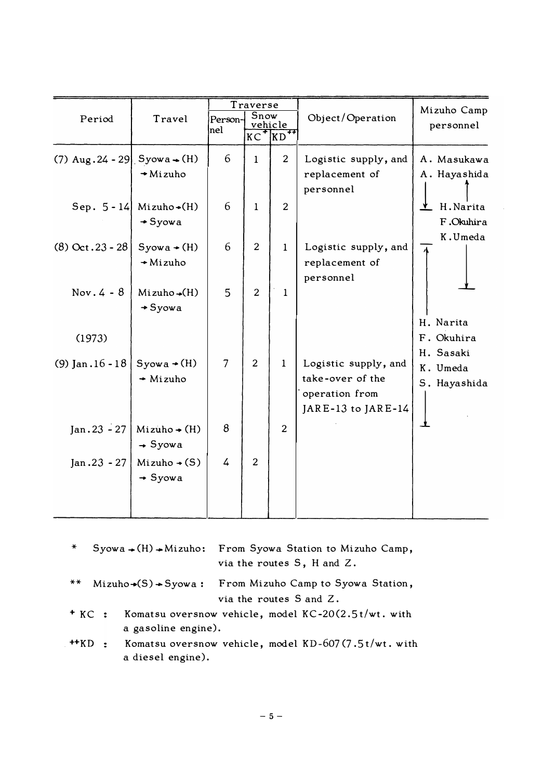|                                           |                                                        |                | Traverse       |                               |                                                                                  | Mizuho Camp                      |
|-------------------------------------------|--------------------------------------------------------|----------------|----------------|-------------------------------|----------------------------------------------------------------------------------|----------------------------------|
| Period                                    | Travel                                                 | Person-<br>nel | Snow<br>$KC+$  | vehicle<br>$KD$ <sup>++</sup> | Object/Operation                                                                 | personnel                        |
| (7) $Aug.24 - 29$ Syowa $\rightarrow$ (H) | $\rightarrow$ Mizuho                                   | 6              | $\mathbf{1}$   | $\overline{2}$                | Logistic supply, and<br>replacement of<br>personnel                              | A. Masukawa<br>A. Hayashida      |
|                                           | Sep. $5 - 14$ Mizuho $\rightarrow$ (H)<br>$\div$ Syowa | 6              | $\mathbf{1}$   | $\overline{2}$                |                                                                                  | H.Narita<br>F.Okuhira<br>K.Umeda |
| $(8)$ Oct. 23 - 28                        | $Syowa \rightarrow (H)$<br>$+$ Mizuho                  | 6              | 2              | $\mathbf{1}$                  | Logistic supply, and<br>replacement of<br>personnel                              |                                  |
| Nov. $4 - 8$                              | $Mizuho \triangleleft (H)$<br>$+ Syowa$                | 5              | $\overline{2}$ | 1                             |                                                                                  | H. Narita                        |
| (1973)                                    |                                                        |                |                |                               |                                                                                  | F. Okuhira<br>H. Sasaki          |
| (9) Jan $.16 - 18$                        | $Syowa \rightarrow (H)$<br>$\div$ Mizuho               | $\overline{7}$ | 2              | $\mathbf{1}$                  | Logistic supply, and<br>take-over of the<br>operation from<br>JARE-13 to JARE-14 | K. Umeda<br>S. Hayashida         |
| $Jan.23 - 27$                             | $Mizuho \rightarrow (H)$<br>$\rightarrow$ Syowa        | 8              |                | $\overline{2}$                |                                                                                  |                                  |
| $Jan.23 - 27$                             | $Mizuho \rightarrow (S)$<br>$\rightarrow$ Syowa        | 4              | 2              |                               |                                                                                  |                                  |

| $\ast$ |                |                     | $Syowa-(H) \rightarrow Mizuho$ : From Syowa Station to Mizuho Camp,<br>via the routes S, H and Z. |
|--------|----------------|---------------------|---------------------------------------------------------------------------------------------------|
| $***$  |                |                     | $Mizuho-(S) \rightarrow Syowa:$ From Mizuho Camp to Syowa Station,<br>via the routes S and Z.     |
|        | $+$ KC $\cdot$ | a gasoline engine). | Komatsu oversnow vehicle, model $KC-20(2.5t/wt)$ . with                                           |
|        | $HKD$ :        | a diesel engine).   | Komatsu oversnow vehicle, model KD-607(7.5t/wt. with                                              |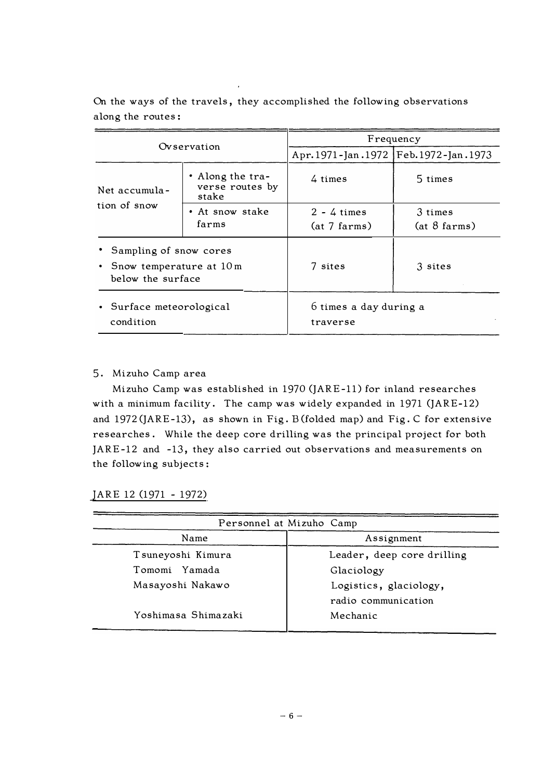| Ovservation                                                                           |                                              | Frequency                                     |                                |  |
|---------------------------------------------------------------------------------------|----------------------------------------------|-----------------------------------------------|--------------------------------|--|
|                                                                                       |                                              | Apr. 1971 - Jan. 1972   Feb. 1972 - Jan. 1973 |                                |  |
| Net accumula-                                                                         | • Along the tra-<br>verse routes by<br>stake | 4 times                                       | 5 times                        |  |
| tion of snow<br>• At snow stake<br>farms                                              |                                              | $2 - 4$ times<br>(at 7 farms)                 | 3 times<br>$(at \ 8 \n farms)$ |  |
| • Sampling of snow cores<br>• Snow temperature at $10 \text{ m}$<br>below the surface |                                              | 7 sites                                       | 3 sites                        |  |
| • Surface meteorological<br>condition                                                 |                                              | 6 times a day during a<br>traverse            |                                |  |

On the ways of the travels, they accomplished the following observations along the routes :

## 5 . Mizuho Camp area

Mizuho Camp was established in 1970 (JARE-11) for inland researches with a minimum facility. The camp was widely expanded in 1971 (JARE-12) and 1972 (JARE-13), as shown in Fig. B (folded map) and Fig. C for extensive researches. While the deep core drilling was the principal project for both JARE-12 and -13, they also carried out observations and measurements on the following subjects:

JARE 12 (1971 - 1972)

| Personnel at Mizuho Camp |                            |  |
|--------------------------|----------------------------|--|
| Name                     | Assignment                 |  |
| Tsuneyoshi Kimura        | Leader, deep core drilling |  |
| Tomomi Yamada            | Glaciology                 |  |
| Masayoshi Nakawo         | Logistics, glaciology,     |  |
|                          | radio communication        |  |
| Yoshimasa Shimazaki      | Mechanic                   |  |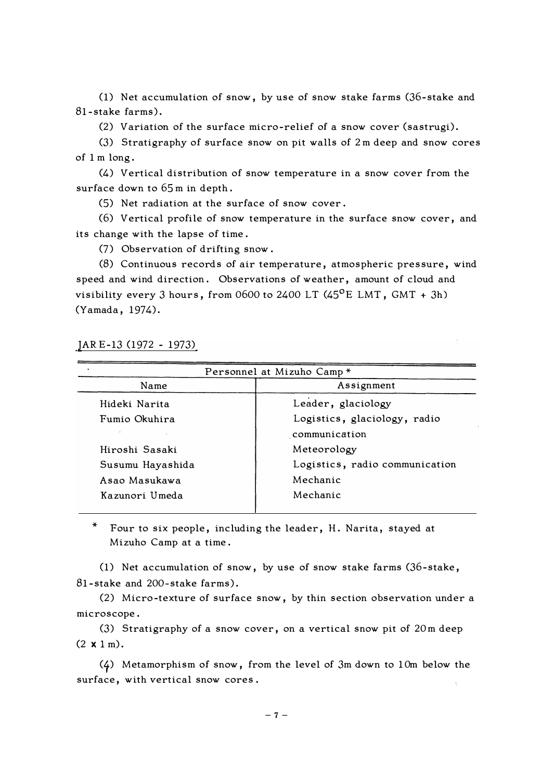(1) Net accumulation of snow, by use of snow stake farms (36-stake and 81-stake farms).

(2) Variation of the surface micro-relief of a snow cover (sastrugi).

(3) Stratigraphy of surface snow on pit walls of 2 m deep and snow cores of 1 m long.

(4) Vertical distribution of snow temperature in a snow cover from the surface down to 65 m in depth.

(5) Net radiation at the surface of snow cover .

(6) Vertical profile of snow temperature in the surface snow cover, and its change with the lapse of time.

(7) Observation of drifting snow.

(8) Continuous records of air temperature, atmospheric pressure, wind speed and wind direction. Observations of weather, amount of cloud and visibility every 3 hours, from 0600 to 2400 LT  $(45^{\circ}E$  LMT, GMT + 3h) (Yamada, 1974).

JAR E-13 (1972 - 1973)

|                  | Personnel at Mizuho Camp*      |
|------------------|--------------------------------|
| Name             | Assignment                     |
| Hideki Narita    | Leader, glaciology             |
| Fumio Okuhira    | Logistics, glaciology, radio   |
|                  | communication                  |
| Hiroshi Sasaki   | Meteorology                    |
| Susumu Hayashida | Logistics, radio communication |
| Asao Masukawa    | Mechanic                       |
| Kazunori Umeda   | Mechanic                       |
|                  |                                |

\* Four to six people, including the leader, H. Narita, stayed at Mizuho Camp at a time.

(1) Net accumulation of snow, by use of snow stake farms (36-stake, 81-stake and 200-stake farms).

(2) Micro-texture of surface snow, by thin section observation under a microscope.

(3) Stratigraphy of a snow cover, on a vertical snow pit of 20 m deep  $(2 \times 1 \text{ m}).$ 

(f) Metamorphism of snow, from the level of 3m down to 10m below the surface, with vertical snow cores.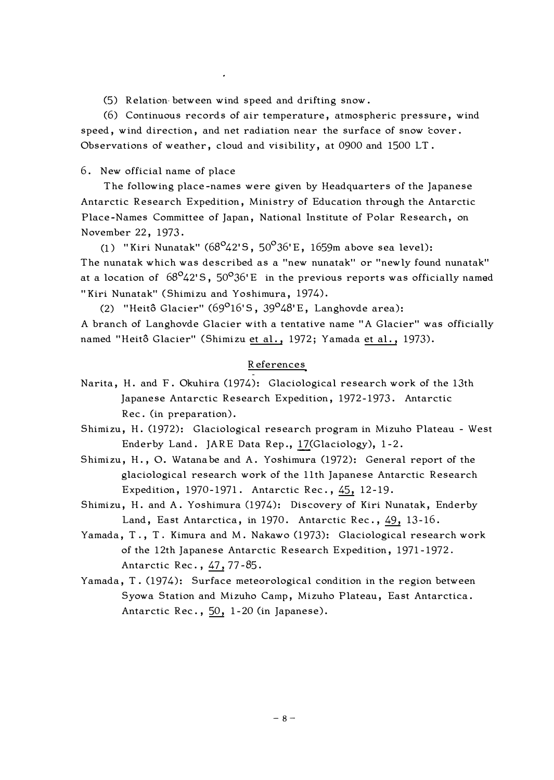(5) Relation between wind speed and drifting snow.

(6) Continuous records of air temperature, atmospheric pressure, wind speed, wind direction, and net radiation near the surface of snow cover. Observations of weather, cloud and visibility, at 0900 and 1500 LT.

6. New official name of place

The following place-names were given by Headquarters of the Japanese Antarctic Research Expedition, Ministry of Education through the Antarctic Place-Names Committee of Japan, National Institute of Polar Research, on November 22, 1973.

(1) "Kiri Nunatak" (68<sup>o</sup>42'S, 50<sup>o</sup>36'E, 1659m above sea level): The nunatak which was described as a "new nunatak" or "newly found nunatak" at a location of  $68^{\circ}42^{\prime}5$ ,  $50^{\circ}36^{\prime}E$  in the previous reports was officially named "Kiri Nunatak" (Shimizu and Yoshimura, 1974).

(2) "Heitô Glacier" ( $69^{\circ}16^{\circ}5$ ,  $39^{\circ}48^{\circ}E$ , Langhovde area): A branch of Langhovde Glacier with a tentative name "A Glacier" was officially named "Heitô Glacier" (Shimizu et al., 1972; Yamada et al., 1973).

#### References

- Narita, H. and F. Okuhira (1974): Glaciological research work of the 13th Japanese Antarctic Research Expedition, 1972-1973. Antarctic Rec. (in preparation).
- Shimizu, H. (1972): Glaciological research program in Mizuho Plateau West Enderby Land. JARE Data Rep., 17(Glaciology), 1-2.
- Shimizu, H., O. Watanabe and A. Yoshimura (1972): General report of the glaciological research work of the 11th Japanese Antarctic Research Expedition, 1970-1971. Antarctic Rec., 45, 12-19.
- Shimizu, H. and A. Yoshimura (1974): Discovery of Kiri Nunatak, Enderby Land, East Antarctica, in 1970. Antarctic Rec.,  $49$ , 13-16.
- Yamada, T., T. Kimura and M. Nakawo (1973): Glaciological research work of the 12th Japanese Antarctic Research Expedition, 1971-1972. Antarctic Rec. , 47, 77-85.
- Yamada, T. (1974): Surface meteorological condition in the region between Syowa Station and Mizuho Camp, Mizuho Plateau, East Antarctica. Antarctic Rec.,  $50$ , 1-20 (in Japanese).